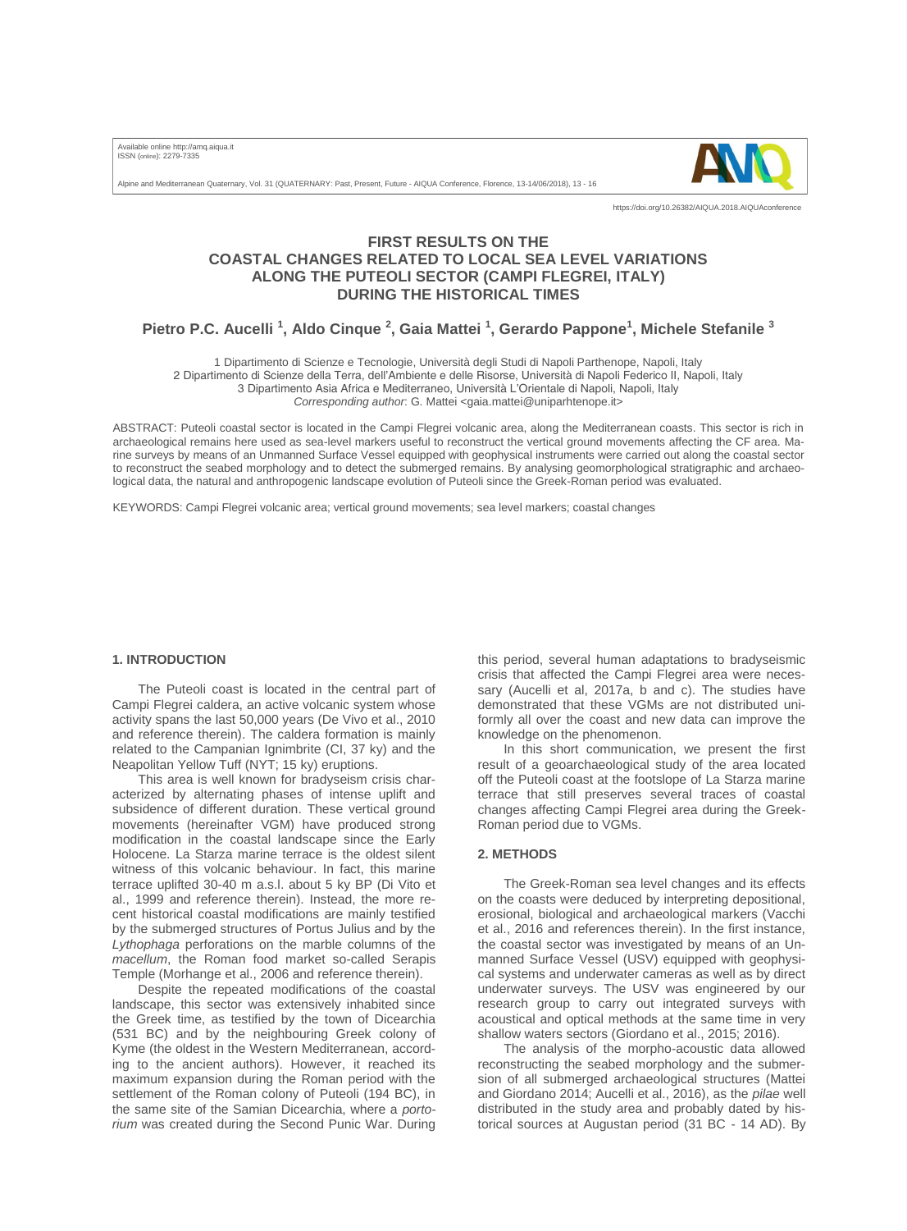Available online http://amq.aiqua.it ISSN (online): 2279-7335



Alpine and Mediterranean Quaternary, Vol. 31 (QUATERNARY: Past, Present, Future - AIQUA Conference, Florence, 13-14/06/2018), 13 - 16

https://doi.org/10.26382/AIQUA.2018.AIQUAconference

## **FIRST RESULTS ON THE COASTAL CHANGES RELATED TO LOCAL SEA LEVEL VARIATIONS ALONG THE PUTEOLI SECTOR (CAMPI FLEGREI, ITALY) DURING THE HISTORICAL TIMES**

# **Pietro P.C. Aucelli <sup>1</sup> , Aldo Cinque <sup>2</sup> , Gaia Mattei <sup>1</sup> , Gerardo Pappone<sup>1</sup> , Michele Stefanile <sup>3</sup>**

1 Dipartimento di Scienze e Tecnologie, Università degli Studi di Napoli Parthenope, Napoli, Italy 2 Dipartimento di Scienze della Terra, dell'Ambiente e delle Risorse, Università di Napoli Federico II, Napoli, Italy 3 Dipartimento Asia Africa e Mediterraneo, Università L'Orientale di Napoli, Napoli, Italy

*Corresponding author*: G. Mattei <[gaia.mattei@uniparhtenope.it>](mailto:gaia.mattei@uniparhtenope.it)

ABSTRACT: Puteoli coastal sector is located in the Campi Flegrei volcanic area, along the Mediterranean coasts. This sector is rich in archaeological remains here used as sea-level markers useful to reconstruct the vertical ground movements affecting the CF area. Marine surveys by means of an Unmanned Surface Vessel equipped with geophysical instruments were carried out along the coastal sector to reconstruct the seabed morphology and to detect the submerged remains. By analysing geomorphological stratigraphic and archaeological data, the natural and anthropogenic landscape evolution of Puteoli since the Greek-Roman period was evaluated.

KEYWORDS: Campi Flegrei volcanic area; vertical ground movements; sea level markers; coastal changes

#### **1. INTRODUCTION**

The Puteoli coast is located in the central part of Campi Flegrei caldera, an active volcanic system whose activity spans the last 50,000 years (De Vivo et al., 2010 and reference therein). The caldera formation is mainly related to the Campanian Ignimbrite (CI, 37 ky) and the Neapolitan Yellow Tuff (NYT; 15 ky) eruptions.

This area is well known for bradyseism crisis characterized by alternating phases of intense uplift and subsidence of different duration. These vertical ground movements (hereinafter VGM) have produced strong modification in the coastal landscape since the Early Holocene. La Starza marine terrace is the oldest silent witness of this volcanic behaviour. In fact, this marine terrace uplifted 30-40 m a.s.l. about 5 ky BP (Di Vito et al., 1999 and reference therein). Instead, the more recent historical coastal modifications are mainly testified by the submerged structures of Portus Julius and by the *Lythophaga* perforations on the marble columns of the *macellum*, the Roman food market so-called Serapis Temple (Morhange et al., 2006 and reference therein).

Despite the repeated modifications of the coastal landscape, this sector was extensively inhabited since the Greek time, as testified by the town of Dicearchia (531 BC) and by the neighbouring Greek colony of Kyme (the oldest in the Western Mediterranean, according to the ancient authors). However, it reached its maximum expansion during the Roman period with the settlement of the Roman colony of Puteoli (194 BC), in the same site of the Samian Dicearchia, where a *portorium* was created during the Second Punic War. During

this period, several human adaptations to bradyseismic crisis that affected the Campi Flegrei area were necessary (Aucelli et al, 2017a, b and c). The studies have demonstrated that these VGMs are not distributed uniformly all over the coast and new data can improve the knowledge on the phenomenon.

In this short communication, we present the first result of a geoarchaeological study of the area located off the Puteoli coast at the footslope of La Starza marine terrace that still preserves several traces of coastal changes affecting Campi Flegrei area during the Greek-Roman period due to VGMs.

#### **2. METHODS**

The Greek-Roman sea level changes and its effects on the coasts were deduced by interpreting depositional, erosional, biological and archaeological markers (Vacchi et al., 2016 and references therein). In the first instance, the coastal sector was investigated by means of an Unmanned Surface Vessel (USV) equipped with geophysical systems and underwater cameras as well as by direct underwater surveys. The USV was engineered by our research group to carry out integrated surveys with acoustical and optical methods at the same time in very shallow waters sectors (Giordano et al., 2015; 2016).

The analysis of the morpho-acoustic data allowed reconstructing the seabed morphology and the submersion of all submerged archaeological structures (Mattei and Giordano 2014; Aucelli et al., 2016), as the *pilae* well distributed in the study area and probably dated by historical sources at Augustan period (31 BC - 14 AD). By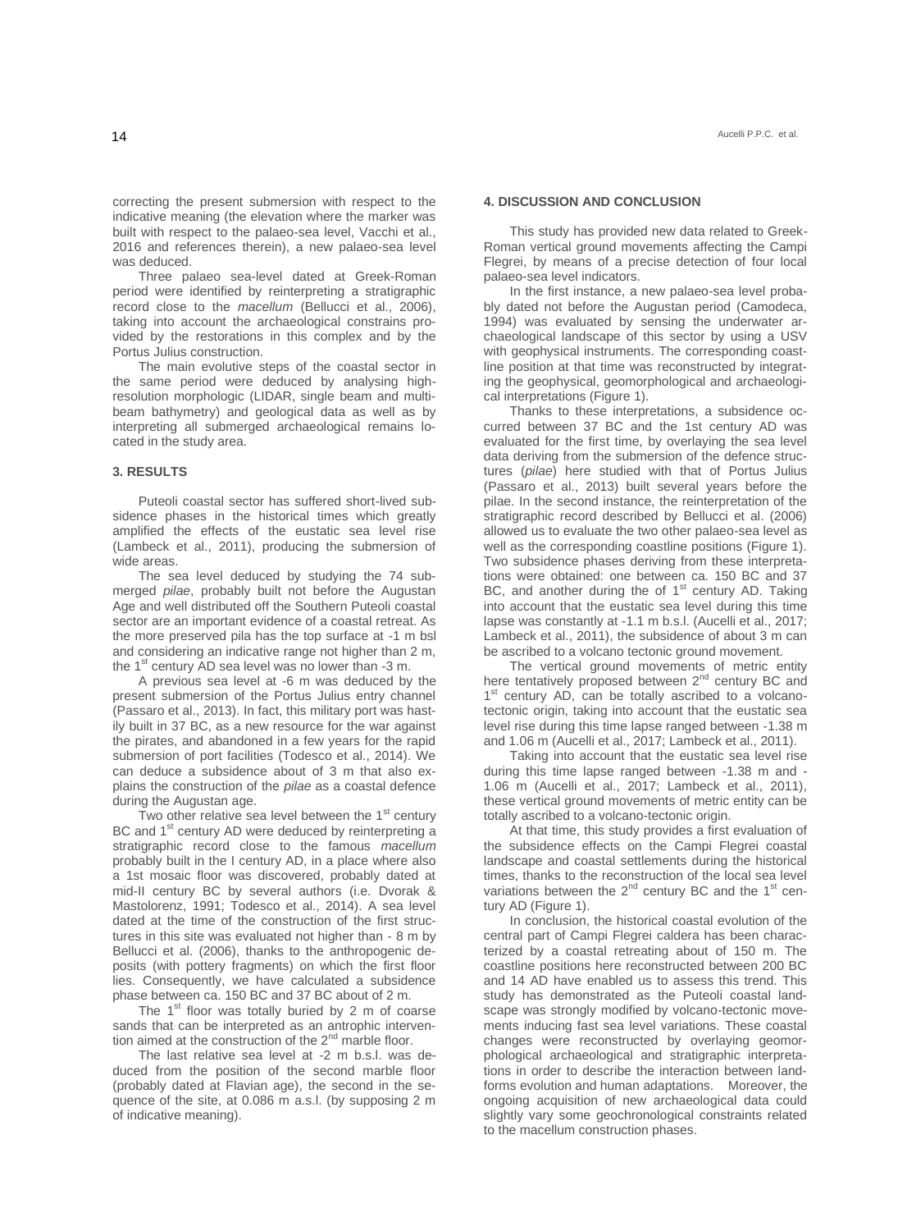correcting the present submersion with respect to the indicative meaning (the elevation where the marker was built with respect to the palaeo-sea level, Vacchi et al., 2016 and references therein), a new palaeo-sea level was deduced.

Three palaeo sea-level dated at Greek-Roman period were identified by reinterpreting a stratigraphic record close to the *macellum* (Bellucci et al., 2006), taking into account the archaeological constrains provided by the restorations in this complex and by the Portus Julius construction.

The main evolutive steps of the coastal sector in the same period were deduced by analysing highresolution morphologic (LIDAR, single beam and multibeam bathymetry) and geological data as well as by interpreting all submerged archaeological remains located in the study area.

#### **3. RESULTS**

Puteoli coastal sector has suffered short-lived subsidence phases in the historical times which greatly amplified the effects of the eustatic sea level rise (Lambeck et al., 2011), producing the submersion of wide areas.

The sea level deduced by studying the 74 submerged *pilae*, probably built not before the Augustan Age and well distributed off the Southern Puteoli coastal sector are an important evidence of a coastal retreat. As the more preserved pila has the top surface at -1 m bsl and considering an indicative range not higher than 2 m, the  $1<sup>st</sup>$  century AD sea level was no lower than -3 m.

A previous sea level at -6 m was deduced by the present submersion of the Portus Julius entry channel (Passaro et al., 2013). In fact, this military port was hastily built in 37 BC, as a new resource for the war against the pirates, and abandoned in a few years for the rapid submersion of port facilities (Todesco et al., 2014). We can deduce a subsidence about of 3 m that also explains the construction of the *pilae* as a coastal defence during the Augustan age.

Two other relative sea level between the  $1<sup>st</sup>$  century BC and  $1<sup>st</sup>$  century AD were deduced by reinterpreting a stratigraphic record close to the famous *macellum* probably built in the I century AD, in a place where also a 1st mosaic floor was discovered, probably dated at mid-II century BC by several authors (i.e. Dvorak & Mastolorenz, 1991; Todesco et al., 2014). A sea level dated at the time of the construction of the first structures in this site was evaluated not higher than - 8 m by Bellucci et al. (2006), thanks to the anthropogenic deposits (with pottery fragments) on which the first floor lies. Consequently, we have calculated a subsidence phase between ca. 150 BC and 37 BC about of 2 m.

The  $1<sup>st</sup>$  floor was totally buried by 2 m of coarse sands that can be interpreted as an antrophic intervention aimed at the construction of the 2<sup>nd</sup> marble floor.

The last relative sea level at -2 m b.s.l. was deduced from the position of the second marble floor (probably dated at Flavian age), the second in the sequence of the site, at 0.086 m a.s.l. (by supposing 2 m of indicative meaning).

#### **4. DISCUSSION AND CONCLUSION**

This study has provided new data related to Greek-Roman vertical ground movements affecting the Campi Flegrei, by means of a precise detection of four local palaeo-sea level indicators.

In the first instance, a new palaeo-sea level probably dated not before the Augustan period (Camodeca, 1994) was evaluated by sensing the underwater archaeological landscape of this sector by using a USV with geophysical instruments. The corresponding coastline position at that time was reconstructed by integrating the geophysical, geomorphological and archaeological interpretations (Figure 1).

Thanks to these interpretations, a subsidence occurred between 37 BC and the 1st century AD was evaluated for the first time, by overlaying the sea level data deriving from the submersion of the defence structures (*pilae*) here studied with that of Portus Julius (Passaro et al., 2013) built several years before the pilae. In the second instance, the reinterpretation of the stratigraphic record described by Bellucci et al. (2006) allowed us to evaluate the two other palaeo-sea level as well as the corresponding coastline positions (Figure 1). Two subsidence phases deriving from these interpretations were obtained: one between ca. 150 BC and 37 BC, and another during the of  $1<sup>st</sup>$  century AD. Taking into account that the eustatic sea level during this time lapse was constantly at -1.1 m b.s.l. (Aucelli et al., 2017; Lambeck et al., 2011), the subsidence of about 3 m can be ascribed to a volcano tectonic ground movement.

The vertical ground movements of metric entity here tentatively proposed between 2<sup>nd</sup> century BC and 1<sup>st</sup> century AD, can be totally ascribed to a volcanotectonic origin, taking into account that the eustatic sea level rise during this time lapse ranged between -1.38 m and 1.06 m (Aucelli et al., 2017; Lambeck et al., 2011).

Taking into account that the eustatic sea level rise during this time lapse ranged between -1.38 m and - 1.06 m (Aucelli et al., 2017; Lambeck et al., 2011), these vertical ground movements of metric entity can be totally ascribed to a volcano-tectonic origin.

At that time, this study provides a first evaluation of the subsidence effects on the Campi Flegrei coastal landscape and coastal settlements during the historical times, thanks to the reconstruction of the local sea level variations between the  $2^{nd}$  century BC and the  $1^{st}$  century AD (Figure 1).

In conclusion, the historical coastal evolution of the central part of Campi Flegrei caldera has been characterized by a coastal retreating about of 150 m. The coastline positions here reconstructed between 200 BC and 14 AD have enabled us to assess this trend. This study has demonstrated as the Puteoli coastal landscape was strongly modified by volcano-tectonic movements inducing fast sea level variations. These coastal changes were reconstructed by overlaying geomorphological archaeological and stratigraphic interpretations in order to describe the interaction between landforms evolution and human adaptations. Moreover, the ongoing acquisition of new archaeological data could slightly vary some geochronological constraints related to the macellum construction phases.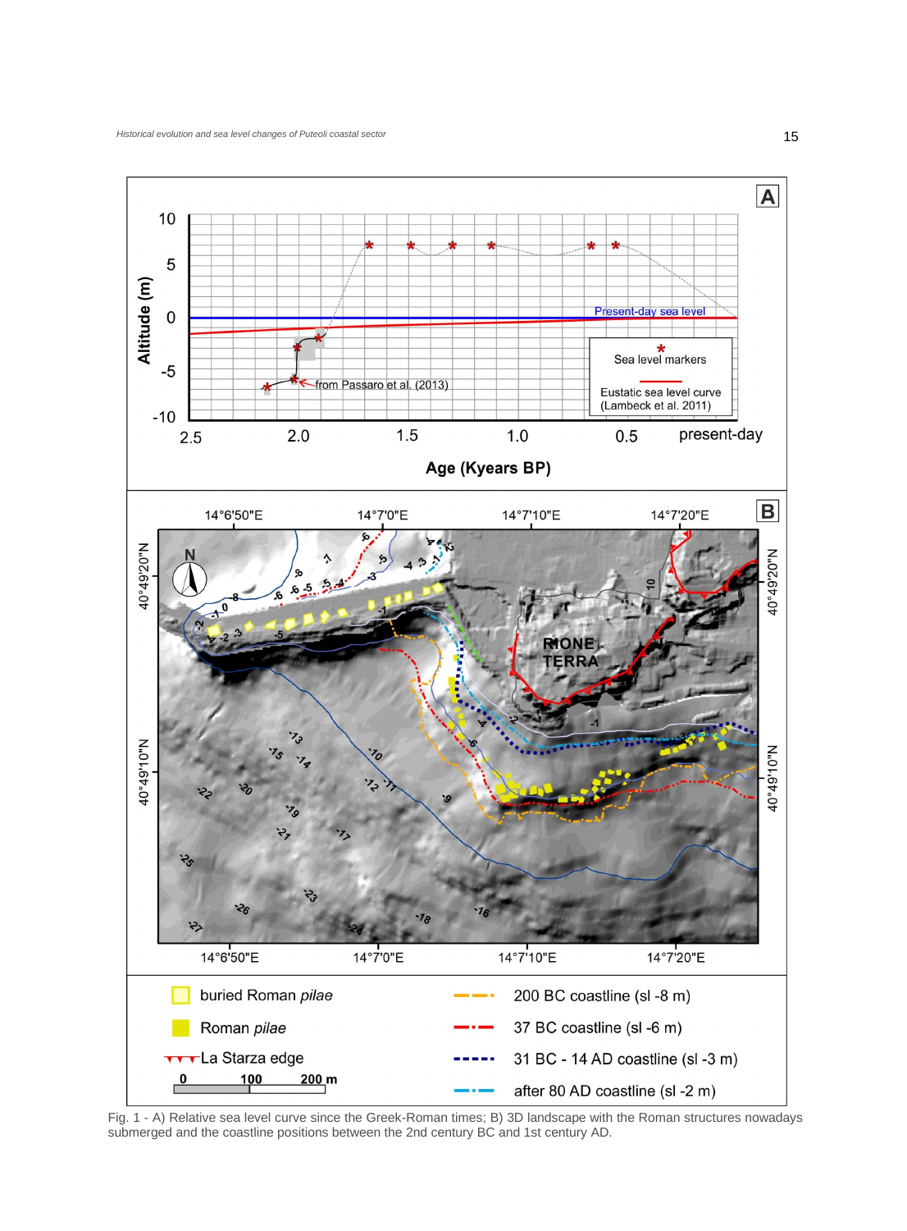

Fig. 1 - A) Relative sea level curve since the Greek-Roman times; B) 3D landscape with the Roman structures nowadays submerged and the coastline positions between the 2nd century BC and 1st century AD.